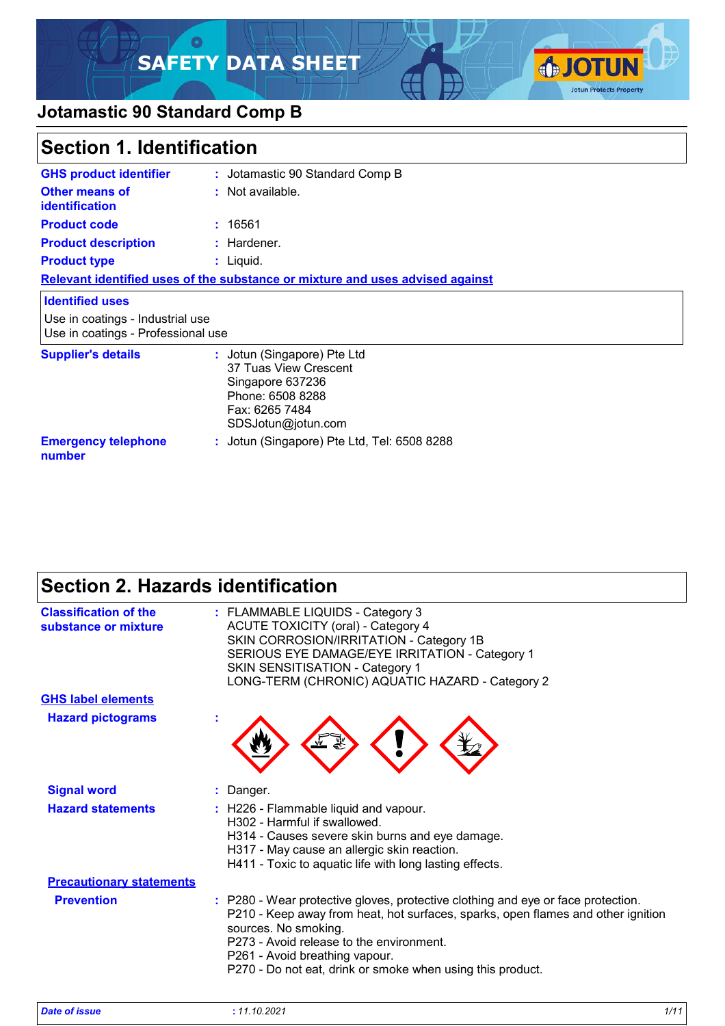### $\circ$ **SAFETY DATA SHEET**



### **Jotamastic 90 Standard Comp B**

| Section 1. Identification                                              |                                                                                                                                      |  |
|------------------------------------------------------------------------|--------------------------------------------------------------------------------------------------------------------------------------|--|
| <b>GHS product identifier</b>                                          | : Jotamastic 90 Standard Comp B                                                                                                      |  |
| Other means of<br><b>identification</b>                                | : Not available.                                                                                                                     |  |
| <b>Product code</b>                                                    | : 16561                                                                                                                              |  |
| <b>Product description</b>                                             | : Hardener.                                                                                                                          |  |
| <b>Product type</b>                                                    | : Liquid.                                                                                                                            |  |
|                                                                        | Relevant identified uses of the substance or mixture and uses advised against                                                        |  |
| <b>Identified uses</b>                                                 |                                                                                                                                      |  |
| Use in coatings - Industrial use<br>Use in coatings - Professional use |                                                                                                                                      |  |
| <b>Supplier's details</b>                                              | : Jotun (Singapore) Pte Ltd<br>37 Tuas View Crescent<br>Singapore 637236<br>Phone: 6508 8288<br>Fax: 6265 7484<br>SDSJotun@jotun.com |  |
| <b>Emergency telephone</b><br>number                                   | : Jotun (Singapore) Pte Ltd, Tel: 6508 8288                                                                                          |  |

# **Section 2. Hazards identification**

| <b>Classification of the</b><br>substance or mixture | : FLAMMABLE LIQUIDS - Category 3<br><b>ACUTE TOXICITY (oral) - Category 4</b><br>SKIN CORROSION/IRRITATION - Category 1B<br>SERIOUS EYE DAMAGE/EYE IRRITATION - Category 1<br><b>SKIN SENSITISATION - Category 1</b><br>LONG-TERM (CHRONIC) AQUATIC HAZARD - Category 2                                                                  |
|------------------------------------------------------|------------------------------------------------------------------------------------------------------------------------------------------------------------------------------------------------------------------------------------------------------------------------------------------------------------------------------------------|
| <b>GHS label elements</b>                            |                                                                                                                                                                                                                                                                                                                                          |
| <b>Hazard pictograms</b>                             |                                                                                                                                                                                                                                                                                                                                          |
| <b>Signal word</b>                                   | : Danger.                                                                                                                                                                                                                                                                                                                                |
| <b>Hazard statements</b>                             | : H226 - Flammable liquid and vapour.<br>H302 - Harmful if swallowed.<br>H314 - Causes severe skin burns and eye damage.<br>H317 - May cause an allergic skin reaction.<br>H411 - Toxic to aquatic life with long lasting effects.                                                                                                       |
| <b>Precautionary statements</b>                      |                                                                                                                                                                                                                                                                                                                                          |
| <b>Prevention</b>                                    | : P280 - Wear protective gloves, protective clothing and eye or face protection.<br>P210 - Keep away from heat, hot surfaces, sparks, open flames and other ignition<br>sources. No smoking.<br>P273 - Avoid release to the environment.<br>P261 - Avoid breathing vapour.<br>P270 - Do not eat, drink or smoke when using this product. |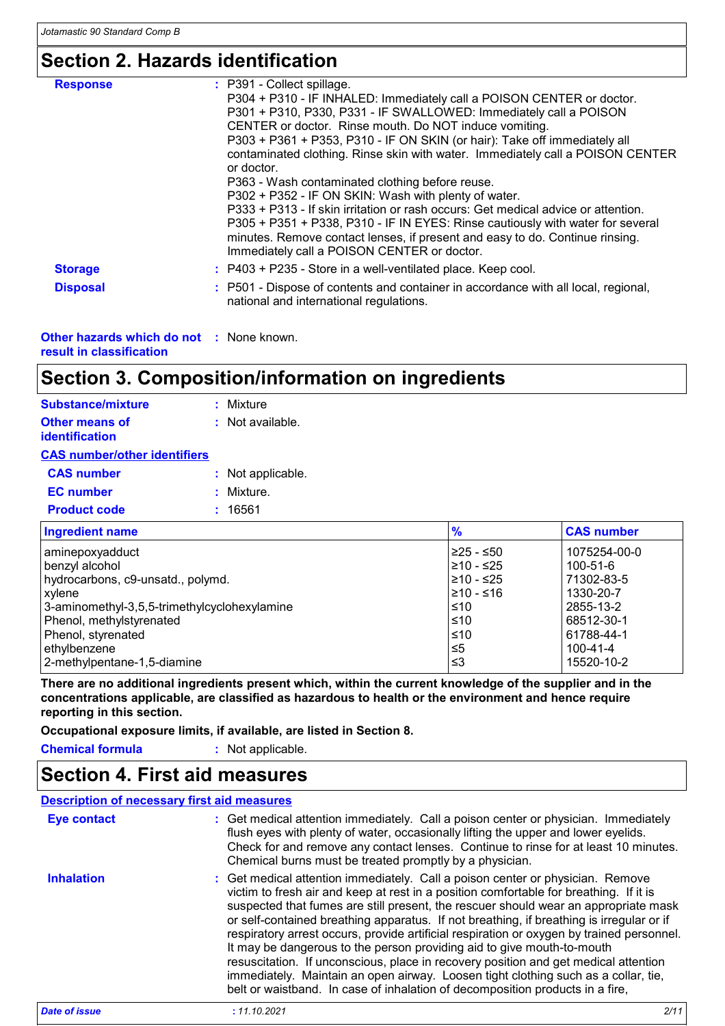# **Section 2. Hazards identification**

| <b>Response</b> | : P391 - Collect spillage.<br>P304 + P310 - IF INHALED: Immediately call a POISON CENTER or doctor.<br>P301 + P310, P330, P331 - IF SWALLOWED: Immediately call a POISON<br>CENTER or doctor. Rinse mouth. Do NOT induce vomiting.<br>P303 + P361 + P353, P310 - IF ON SKIN (or hair): Take off immediately all<br>contaminated clothing. Rinse skin with water. Immediately call a POISON CENTER                           |
|-----------------|-----------------------------------------------------------------------------------------------------------------------------------------------------------------------------------------------------------------------------------------------------------------------------------------------------------------------------------------------------------------------------------------------------------------------------|
|                 | or doctor.<br>P363 - Wash contaminated clothing before reuse.<br>P302 + P352 - IF ON SKIN: Wash with plenty of water.<br>P333 + P313 - If skin irritation or rash occurs: Get medical advice or attention.<br>P305 + P351 + P338, P310 - IF IN EYES: Rinse cautiously with water for several<br>minutes. Remove contact lenses, if present and easy to do. Continue rinsing.<br>Immediately call a POISON CENTER or doctor. |
| <b>Storage</b>  | $:$ P403 + P235 - Store in a well-ventilated place. Keep cool.                                                                                                                                                                                                                                                                                                                                                              |
| <b>Disposal</b> | : P501 - Dispose of contents and container in accordance with all local, regional,<br>national and international regulations.                                                                                                                                                                                                                                                                                               |

| <b>Other hazards which do not : None known.</b> |  |
|-------------------------------------------------|--|
| result in classification                        |  |

### **Section 3. Composition/information on ingredients**

| <b>Substance/mixture</b>                              | : Mixture         |
|-------------------------------------------------------|-------------------|
| <b>Other means of</b><br><b>identification</b>        | : Not available.  |
| <b>CAS number/other identifiers</b>                   |                   |
| <b>CAS number</b>                                     | : Not applicable. |
| <b>EC</b> number                                      | : Mixture.        |
| <b>Product code</b>                                   | : 16561           |
| <b>The Committee of Committee Committee Committee</b> |                   |

| <b>Ingredient name</b>                       | $\frac{1}{2}$ | <b>CAS number</b> |
|----------------------------------------------|---------------|-------------------|
| aminepoxyadduct                              | $≥25 - ≤50$   | 1075254-00-0      |
| benzyl alcohol                               | 210 - ≤25     | 100-51-6          |
| hydrocarbons, c9-unsatd., polymd.            | 1≥10 - ≤25    | 71302-83-5        |
| <b>xylene</b>                                | 1≥10 - ≤16    | 1330-20-7         |
| 3-aminomethyl-3,5,5-trimethylcyclohexylamine | l≤10          | 2855-13-2         |
| Phenol, methylstyrenated                     | ≤10           | 68512-30-1        |
| Phenol, styrenated                           | $\leq 10$     | 61788-44-1        |
| ethylbenzene                                 | ≤5            | $100 - 41 - 4$    |
| 2-methylpentane-1,5-diamine                  | ՝≤3           | 15520-10-2        |

**There are no additional ingredients present which, within the current knowledge of the supplier and in the concentrations applicable, are classified as hazardous to health or the environment and hence require reporting in this section.**

**Occupational exposure limits, if available, are listed in Section 8.**

**Chemical formula :** Not applicable.

### **Section 4. First aid measures**

#### **Description of necessary first aid measures**

| <b>Eye contact</b>   | : Get medical attention immediately. Call a poison center or physician. Immediately<br>flush eyes with plenty of water, occasionally lifting the upper and lower eyelids.<br>Check for and remove any contact lenses. Continue to rinse for at least 10 minutes.<br>Chemical burns must be treated promptly by a physician.                                                                                                                                                                                                                                                                                                                                                                                                                                                                      |
|----------------------|--------------------------------------------------------------------------------------------------------------------------------------------------------------------------------------------------------------------------------------------------------------------------------------------------------------------------------------------------------------------------------------------------------------------------------------------------------------------------------------------------------------------------------------------------------------------------------------------------------------------------------------------------------------------------------------------------------------------------------------------------------------------------------------------------|
| <b>Inhalation</b>    | : Get medical attention immediately. Call a poison center or physician. Remove<br>victim to fresh air and keep at rest in a position comfortable for breathing. If it is<br>suspected that fumes are still present, the rescuer should wear an appropriate mask<br>or self-contained breathing apparatus. If not breathing, if breathing is irregular or if<br>respiratory arrest occurs, provide artificial respiration or oxygen by trained personnel.<br>It may be dangerous to the person providing aid to give mouth-to-mouth<br>resuscitation. If unconscious, place in recovery position and get medical attention<br>immediately. Maintain an open airway. Loosen tight clothing such as a collar, tie,<br>belt or waistband. In case of inhalation of decomposition products in a fire, |
| <b>Date of issue</b> | : 11.10.2021<br>2/11                                                                                                                                                                                                                                                                                                                                                                                                                                                                                                                                                                                                                                                                                                                                                                             |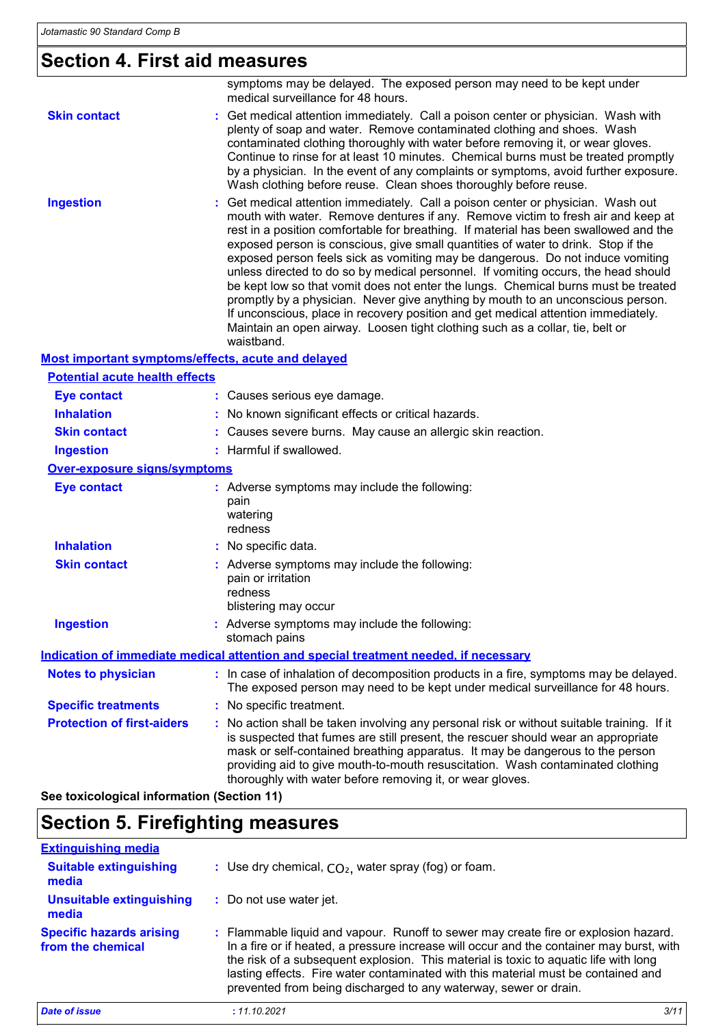# **Section 4. First aid measures**

|                                                           | symptoms may be delayed. The exposed person may need to be kept under<br>medical surveillance for 48 hours.                                                                                                                                                                                                                                                                                                                                                                                                                                                                                                                                                                                                                                                                                                                                                                          |
|-----------------------------------------------------------|--------------------------------------------------------------------------------------------------------------------------------------------------------------------------------------------------------------------------------------------------------------------------------------------------------------------------------------------------------------------------------------------------------------------------------------------------------------------------------------------------------------------------------------------------------------------------------------------------------------------------------------------------------------------------------------------------------------------------------------------------------------------------------------------------------------------------------------------------------------------------------------|
| <b>Skin contact</b>                                       | : Get medical attention immediately. Call a poison center or physician. Wash with<br>plenty of soap and water. Remove contaminated clothing and shoes. Wash<br>contaminated clothing thoroughly with water before removing it, or wear gloves.<br>Continue to rinse for at least 10 minutes. Chemical burns must be treated promptly<br>by a physician. In the event of any complaints or symptoms, avoid further exposure.<br>Wash clothing before reuse. Clean shoes thoroughly before reuse.                                                                                                                                                                                                                                                                                                                                                                                      |
| <b>Ingestion</b>                                          | Get medical attention immediately. Call a poison center or physician. Wash out<br>mouth with water. Remove dentures if any. Remove victim to fresh air and keep at<br>rest in a position comfortable for breathing. If material has been swallowed and the<br>exposed person is conscious, give small quantities of water to drink. Stop if the<br>exposed person feels sick as vomiting may be dangerous. Do not induce vomiting<br>unless directed to do so by medical personnel. If vomiting occurs, the head should<br>be kept low so that vomit does not enter the lungs. Chemical burns must be treated<br>promptly by a physician. Never give anything by mouth to an unconscious person.<br>If unconscious, place in recovery position and get medical attention immediately.<br>Maintain an open airway. Loosen tight clothing such as a collar, tie, belt or<br>waistband. |
| <b>Most important symptoms/effects, acute and delayed</b> |                                                                                                                                                                                                                                                                                                                                                                                                                                                                                                                                                                                                                                                                                                                                                                                                                                                                                      |
| <b>Potential acute health effects</b>                     |                                                                                                                                                                                                                                                                                                                                                                                                                                                                                                                                                                                                                                                                                                                                                                                                                                                                                      |
| <b>Eye contact</b>                                        | : Causes serious eye damage.                                                                                                                                                                                                                                                                                                                                                                                                                                                                                                                                                                                                                                                                                                                                                                                                                                                         |
| <b>Inhalation</b>                                         | No known significant effects or critical hazards.                                                                                                                                                                                                                                                                                                                                                                                                                                                                                                                                                                                                                                                                                                                                                                                                                                    |
| <b>Skin contact</b>                                       | : Causes severe burns. May cause an allergic skin reaction.                                                                                                                                                                                                                                                                                                                                                                                                                                                                                                                                                                                                                                                                                                                                                                                                                          |
| <b>Ingestion</b>                                          | : Harmful if swallowed.                                                                                                                                                                                                                                                                                                                                                                                                                                                                                                                                                                                                                                                                                                                                                                                                                                                              |
| <b>Over-exposure signs/symptoms</b>                       |                                                                                                                                                                                                                                                                                                                                                                                                                                                                                                                                                                                                                                                                                                                                                                                                                                                                                      |
| <b>Eye contact</b>                                        | : Adverse symptoms may include the following:<br>pain<br>watering<br>redness                                                                                                                                                                                                                                                                                                                                                                                                                                                                                                                                                                                                                                                                                                                                                                                                         |
| <b>Inhalation</b>                                         | No specific data.                                                                                                                                                                                                                                                                                                                                                                                                                                                                                                                                                                                                                                                                                                                                                                                                                                                                    |
| <b>Skin contact</b>                                       | : Adverse symptoms may include the following:<br>pain or irritation<br>redness<br>blistering may occur                                                                                                                                                                                                                                                                                                                                                                                                                                                                                                                                                                                                                                                                                                                                                                               |
| <b>Ingestion</b>                                          | : Adverse symptoms may include the following:<br>stomach pains                                                                                                                                                                                                                                                                                                                                                                                                                                                                                                                                                                                                                                                                                                                                                                                                                       |
|                                                           | Indication of immediate medical attention and special treatment needed, if necessary                                                                                                                                                                                                                                                                                                                                                                                                                                                                                                                                                                                                                                                                                                                                                                                                 |
| <b>Notes to physician</b>                                 | : In case of inhalation of decomposition products in a fire, symptoms may be delayed.<br>The exposed person may need to be kept under medical surveillance for 48 hours.                                                                                                                                                                                                                                                                                                                                                                                                                                                                                                                                                                                                                                                                                                             |
| <b>Specific treatments</b>                                | : No specific treatment.                                                                                                                                                                                                                                                                                                                                                                                                                                                                                                                                                                                                                                                                                                                                                                                                                                                             |
| <b>Protection of first-aiders</b>                         | : No action shall be taken involving any personal risk or without suitable training. If it<br>is suspected that fumes are still present, the rescuer should wear an appropriate<br>mask or self-contained breathing apparatus. It may be dangerous to the person<br>providing aid to give mouth-to-mouth resuscitation. Wash contaminated clothing<br>thoroughly with water before removing it, or wear gloves.                                                                                                                                                                                                                                                                                                                                                                                                                                                                      |

**See toxicological information (Section 11)**

### **Section 5. Firefighting measures**

| <b>Extinguishing media</b>                           |                                                                                                                                                                                                                                                                                                                                                                                                                                  |
|------------------------------------------------------|----------------------------------------------------------------------------------------------------------------------------------------------------------------------------------------------------------------------------------------------------------------------------------------------------------------------------------------------------------------------------------------------------------------------------------|
| <b>Suitable extinguishing</b><br>media               | : Use dry chemical, $CO2$ , water spray (fog) or foam.                                                                                                                                                                                                                                                                                                                                                                           |
| Unsuitable extinguishing<br>media                    | : Do not use water jet.                                                                                                                                                                                                                                                                                                                                                                                                          |
| <b>Specific hazards arising</b><br>from the chemical | : Flammable liquid and vapour. Runoff to sewer may create fire or explosion hazard.<br>In a fire or if heated, a pressure increase will occur and the container may burst, with<br>the risk of a subsequent explosion. This material is toxic to aquatic life with long<br>lasting effects. Fire water contaminated with this material must be contained and<br>prevented from being discharged to any waterway, sewer or drain. |

| <b>Date of issue</b> |  |  |
|----------------------|--|--|
|                      |  |  |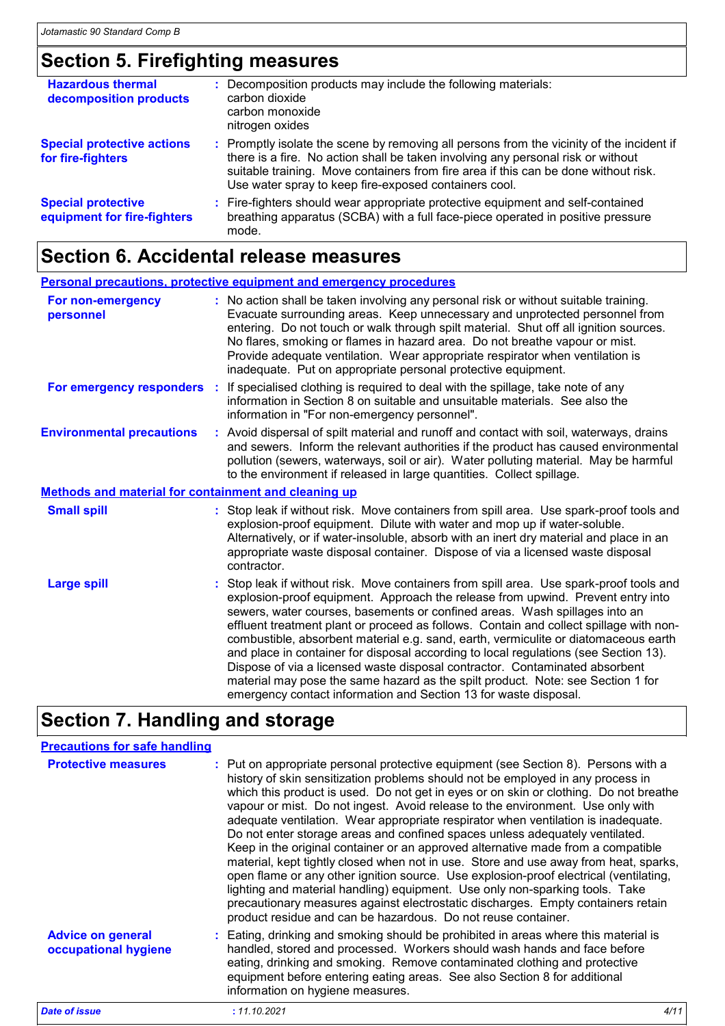# **Section 5. Firefighting measures**

| <b>Hazardous thermal</b><br>decomposition products       | : Decomposition products may include the following materials:<br>carbon dioxide<br>carbon monoxide<br>nitrogen oxides                                                                                                                                                                                                         |
|----------------------------------------------------------|-------------------------------------------------------------------------------------------------------------------------------------------------------------------------------------------------------------------------------------------------------------------------------------------------------------------------------|
| <b>Special protective actions</b><br>for fire-fighters   | : Promptly isolate the scene by removing all persons from the vicinity of the incident if<br>there is a fire. No action shall be taken involving any personal risk or without<br>suitable training. Move containers from fire area if this can be done without risk.<br>Use water spray to keep fire-exposed containers cool. |
| <b>Special protective</b><br>equipment for fire-fighters | : Fire-fighters should wear appropriate protective equipment and self-contained<br>breathing apparatus (SCBA) with a full face-piece operated in positive pressure<br>mode.                                                                                                                                                   |

### **Section 6. Accidental release measures**

|                                                             | <b>Personal precautions, protective equipment and emergency procedures</b>                                                                                                                                                                                                                                                                                                                                                                                                                                                                                                                                                                                                                                                                                              |
|-------------------------------------------------------------|-------------------------------------------------------------------------------------------------------------------------------------------------------------------------------------------------------------------------------------------------------------------------------------------------------------------------------------------------------------------------------------------------------------------------------------------------------------------------------------------------------------------------------------------------------------------------------------------------------------------------------------------------------------------------------------------------------------------------------------------------------------------------|
| For non-emergency<br>personnel                              | : No action shall be taken involving any personal risk or without suitable training.<br>Evacuate surrounding areas. Keep unnecessary and unprotected personnel from<br>entering. Do not touch or walk through spilt material. Shut off all ignition sources.<br>No flares, smoking or flames in hazard area. Do not breathe vapour or mist.<br>Provide adequate ventilation. Wear appropriate respirator when ventilation is<br>inadequate. Put on appropriate personal protective equipment.                                                                                                                                                                                                                                                                           |
|                                                             | For emergency responders : If specialised clothing is required to deal with the spillage, take note of any<br>information in Section 8 on suitable and unsuitable materials. See also the<br>information in "For non-emergency personnel".                                                                                                                                                                                                                                                                                                                                                                                                                                                                                                                              |
| <b>Environmental precautions</b>                            | : Avoid dispersal of spilt material and runoff and contact with soil, waterways, drains<br>and sewers. Inform the relevant authorities if the product has caused environmental<br>pollution (sewers, waterways, soil or air). Water polluting material. May be harmful<br>to the environment if released in large quantities. Collect spillage.                                                                                                                                                                                                                                                                                                                                                                                                                         |
| <b>Methods and material for containment and cleaning up</b> |                                                                                                                                                                                                                                                                                                                                                                                                                                                                                                                                                                                                                                                                                                                                                                         |
| <b>Small spill</b>                                          | : Stop leak if without risk. Move containers from spill area. Use spark-proof tools and<br>explosion-proof equipment. Dilute with water and mop up if water-soluble.<br>Alternatively, or if water-insoluble, absorb with an inert dry material and place in an<br>appropriate waste disposal container. Dispose of via a licensed waste disposal<br>contractor.                                                                                                                                                                                                                                                                                                                                                                                                        |
| <b>Large spill</b>                                          | : Stop leak if without risk. Move containers from spill area. Use spark-proof tools and<br>explosion-proof equipment. Approach the release from upwind. Prevent entry into<br>sewers, water courses, basements or confined areas. Wash spillages into an<br>effluent treatment plant or proceed as follows. Contain and collect spillage with non-<br>combustible, absorbent material e.g. sand, earth, vermiculite or diatomaceous earth<br>and place in container for disposal according to local regulations (see Section 13).<br>Dispose of via a licensed waste disposal contractor. Contaminated absorbent<br>material may pose the same hazard as the spilt product. Note: see Section 1 for<br>emergency contact information and Section 13 for waste disposal. |

# **Section 7. Handling and storage**

| <b>Precautions for safe handling</b>             |                                                                                                                                                                                                                                                                                                                                                                                                                                                                                                                                                                                                                                                                                                                                                                                                                                                                                                                                                                                                                                 |
|--------------------------------------------------|---------------------------------------------------------------------------------------------------------------------------------------------------------------------------------------------------------------------------------------------------------------------------------------------------------------------------------------------------------------------------------------------------------------------------------------------------------------------------------------------------------------------------------------------------------------------------------------------------------------------------------------------------------------------------------------------------------------------------------------------------------------------------------------------------------------------------------------------------------------------------------------------------------------------------------------------------------------------------------------------------------------------------------|
| <b>Protective measures</b>                       | : Put on appropriate personal protective equipment (see Section 8). Persons with a<br>history of skin sensitization problems should not be employed in any process in<br>which this product is used. Do not get in eyes or on skin or clothing. Do not breathe<br>vapour or mist. Do not ingest. Avoid release to the environment. Use only with<br>adequate ventilation. Wear appropriate respirator when ventilation is inadequate.<br>Do not enter storage areas and confined spaces unless adequately ventilated.<br>Keep in the original container or an approved alternative made from a compatible<br>material, kept tightly closed when not in use. Store and use away from heat, sparks,<br>open flame or any other ignition source. Use explosion-proof electrical (ventilating,<br>lighting and material handling) equipment. Use only non-sparking tools. Take<br>precautionary measures against electrostatic discharges. Empty containers retain<br>product residue and can be hazardous. Do not reuse container. |
| <b>Advice on general</b><br>occupational hygiene | : Eating, drinking and smoking should be prohibited in areas where this material is<br>handled, stored and processed. Workers should wash hands and face before<br>eating, drinking and smoking. Remove contaminated clothing and protective<br>equipment before entering eating areas. See also Section 8 for additional<br>information on hygiene measures.                                                                                                                                                                                                                                                                                                                                                                                                                                                                                                                                                                                                                                                                   |

*Date of issue* **:** *11.10.2021 4/11*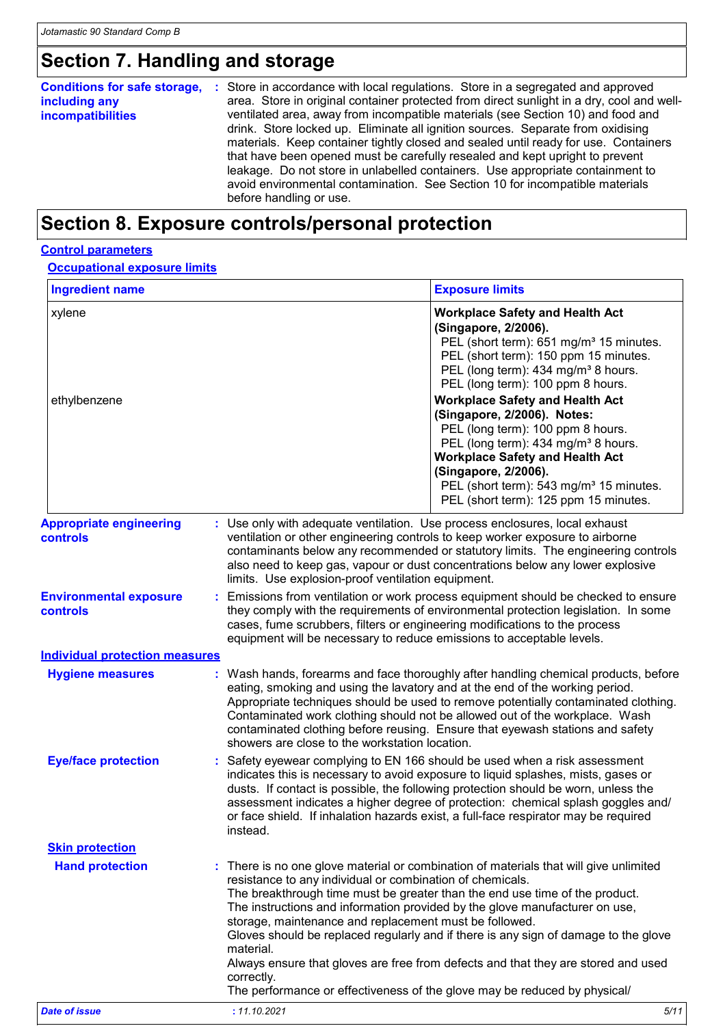# **Section 7. Handling and storage**

| <b>Conditions for safe storage,</b><br>including any<br>incompatibilities | : Store in accordance with local regulations. Store in a segregated and approved<br>area. Store in original container protected from direct sunlight in a dry, cool and well-<br>ventilated area, away from incompatible materials (see Section 10) and food and<br>drink. Store locked up. Eliminate all ignition sources. Separate from oxidising<br>materials. Keep container tightly closed and sealed until ready for use. Containers<br>that have been opened must be carefully resealed and kept upright to prevent<br>leakage. Do not store in unlabelled containers. Use appropriate containment to<br>avoid environmental contamination. See Section 10 for incompatible materials<br>before handling or use. |
|---------------------------------------------------------------------------|-------------------------------------------------------------------------------------------------------------------------------------------------------------------------------------------------------------------------------------------------------------------------------------------------------------------------------------------------------------------------------------------------------------------------------------------------------------------------------------------------------------------------------------------------------------------------------------------------------------------------------------------------------------------------------------------------------------------------|
|---------------------------------------------------------------------------|-------------------------------------------------------------------------------------------------------------------------------------------------------------------------------------------------------------------------------------------------------------------------------------------------------------------------------------------------------------------------------------------------------------------------------------------------------------------------------------------------------------------------------------------------------------------------------------------------------------------------------------------------------------------------------------------------------------------------|

# **Section 8. Exposure controls/personal protection**

#### **Control parameters**

**Occupational exposure limits**

| <b>Ingredient name</b><br><b>Exposure limits</b>  |                                                                                                                                                                                                                                                                                                                                                                                                                                                                                                                                                                                                                                                              |  |  |
|---------------------------------------------------|--------------------------------------------------------------------------------------------------------------------------------------------------------------------------------------------------------------------------------------------------------------------------------------------------------------------------------------------------------------------------------------------------------------------------------------------------------------------------------------------------------------------------------------------------------------------------------------------------------------------------------------------------------------|--|--|
| xylene<br>ethylbenzene                            | <b>Workplace Safety and Health Act</b><br>(Singapore, 2/2006).<br>PEL (short term): 651 mg/m <sup>3</sup> 15 minutes.<br>PEL (short term): 150 ppm 15 minutes.<br>PEL (long term): 434 mg/m <sup>3</sup> 8 hours.<br>PEL (long term): 100 ppm 8 hours.<br><b>Workplace Safety and Health Act</b><br>(Singapore, 2/2006). Notes:<br>PEL (long term): 100 ppm 8 hours.<br>PEL (long term): 434 mg/m <sup>3</sup> 8 hours.<br><b>Workplace Safety and Health Act</b><br>(Singapore, 2/2006).<br>PEL (short term): 543 mg/m <sup>3</sup> 15 minutes.<br>PEL (short term): 125 ppm 15 minutes.                                                                    |  |  |
| <b>Appropriate engineering</b><br><b>controls</b> | : Use only with adequate ventilation. Use process enclosures, local exhaust<br>ventilation or other engineering controls to keep worker exposure to airborne<br>contaminants below any recommended or statutory limits. The engineering controls<br>also need to keep gas, vapour or dust concentrations below any lower explosive<br>limits. Use explosion-proof ventilation equipment.                                                                                                                                                                                                                                                                     |  |  |
| <b>Environmental exposure</b><br><b>controls</b>  | : Emissions from ventilation or work process equipment should be checked to ensure<br>they comply with the requirements of environmental protection legislation. In some<br>cases, fume scrubbers, filters or engineering modifications to the process<br>equipment will be necessary to reduce emissions to acceptable levels.                                                                                                                                                                                                                                                                                                                              |  |  |
| <b>Individual protection measures</b>             |                                                                                                                                                                                                                                                                                                                                                                                                                                                                                                                                                                                                                                                              |  |  |
| <b>Hygiene measures</b>                           | : Wash hands, forearms and face thoroughly after handling chemical products, before<br>eating, smoking and using the lavatory and at the end of the working period.<br>Appropriate techniques should be used to remove potentially contaminated clothing.<br>Contaminated work clothing should not be allowed out of the workplace. Wash<br>contaminated clothing before reusing. Ensure that eyewash stations and safety<br>showers are close to the workstation location.                                                                                                                                                                                  |  |  |
| <b>Eye/face protection</b>                        | : Safety eyewear complying to EN 166 should be used when a risk assessment<br>indicates this is necessary to avoid exposure to liquid splashes, mists, gases or<br>dusts. If contact is possible, the following protection should be worn, unless the<br>assessment indicates a higher degree of protection: chemical splash goggles and/<br>or face shield. If inhalation hazards exist, a full-face respirator may be required<br>instead.                                                                                                                                                                                                                 |  |  |
| <b>Skin protection</b>                            |                                                                                                                                                                                                                                                                                                                                                                                                                                                                                                                                                                                                                                                              |  |  |
| <b>Hand protection</b>                            | There is no one glove material or combination of materials that will give unlimited<br>resistance to any individual or combination of chemicals.<br>The breakthrough time must be greater than the end use time of the product.<br>The instructions and information provided by the glove manufacturer on use,<br>storage, maintenance and replacement must be followed.<br>Gloves should be replaced regularly and if there is any sign of damage to the glove<br>material.<br>Always ensure that gloves are free from defects and that they are stored and used<br>correctly.<br>The performance or effectiveness of the glove may be reduced by physical/ |  |  |
| <b>Date of issue</b>                              | : 11.10.2021<br>5/11                                                                                                                                                                                                                                                                                                                                                                                                                                                                                                                                                                                                                                         |  |  |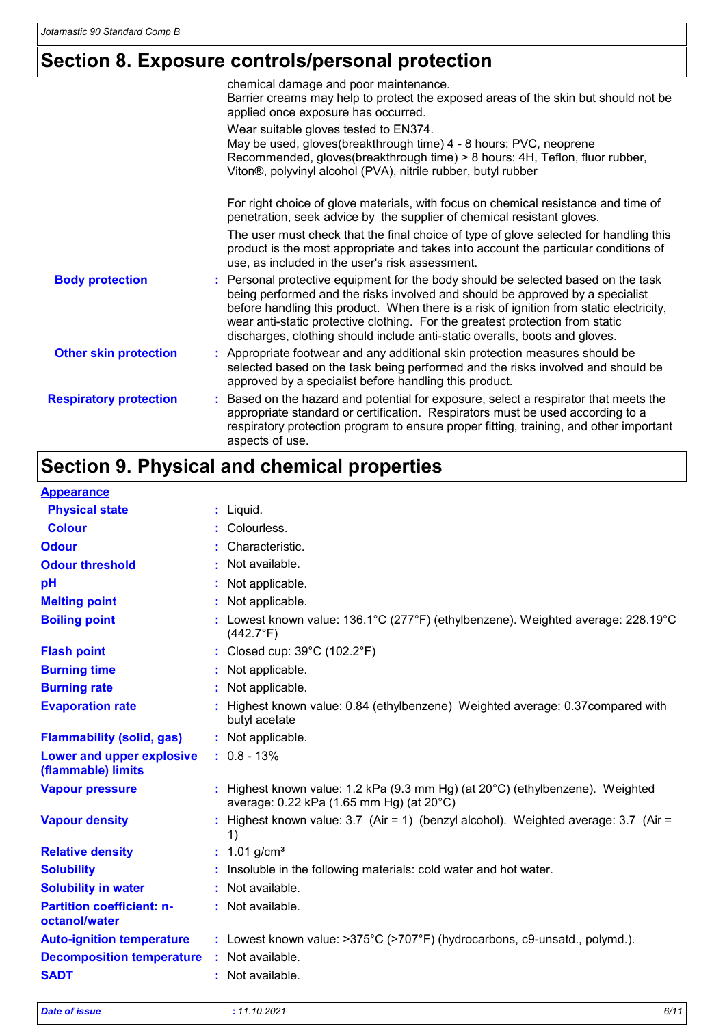### **Section 8. Exposure controls/personal protection**

|                               | chemical damage and poor maintenance.<br>Barrier creams may help to protect the exposed areas of the skin but should not be<br>applied once exposure has occurred.                                                                                                                                                                                                                                                            |
|-------------------------------|-------------------------------------------------------------------------------------------------------------------------------------------------------------------------------------------------------------------------------------------------------------------------------------------------------------------------------------------------------------------------------------------------------------------------------|
|                               | Wear suitable gloves tested to EN374.<br>May be used, gloves(breakthrough time) 4 - 8 hours: PVC, neoprene<br>Recommended, gloves(breakthrough time) > 8 hours: 4H, Teflon, fluor rubber,<br>Viton <sup>®</sup> , polyvinyl alcohol (PVA), nitrile rubber, butyl rubber                                                                                                                                                       |
|                               | For right choice of glove materials, with focus on chemical resistance and time of<br>penetration, seek advice by the supplier of chemical resistant gloves.                                                                                                                                                                                                                                                                  |
|                               | The user must check that the final choice of type of glove selected for handling this<br>product is the most appropriate and takes into account the particular conditions of<br>use, as included in the user's risk assessment.                                                                                                                                                                                               |
| <b>Body protection</b>        | : Personal protective equipment for the body should be selected based on the task<br>being performed and the risks involved and should be approved by a specialist<br>before handling this product. When there is a risk of ignition from static electricity,<br>wear anti-static protective clothing. For the greatest protection from static<br>discharges, clothing should include anti-static overalls, boots and gloves. |
| <b>Other skin protection</b>  | : Appropriate footwear and any additional skin protection measures should be<br>selected based on the task being performed and the risks involved and should be<br>approved by a specialist before handling this product.                                                                                                                                                                                                     |
| <b>Respiratory protection</b> | : Based on the hazard and potential for exposure, select a respirator that meets the<br>appropriate standard or certification. Respirators must be used according to a<br>respiratory protection program to ensure proper fitting, training, and other important<br>aspects of use.                                                                                                                                           |

# **Section 9. Physical and chemical properties**

| <b>Appearance</b>                                 |                                                                                                                                     |
|---------------------------------------------------|-------------------------------------------------------------------------------------------------------------------------------------|
| <b>Physical state</b>                             | $:$ Liquid.                                                                                                                         |
| <b>Colour</b>                                     | : Colourless.                                                                                                                       |
| <b>Odour</b>                                      | : Characteristic.                                                                                                                   |
| <b>Odour threshold</b>                            | : Not available.                                                                                                                    |
| pH                                                | : Not applicable.                                                                                                                   |
| <b>Melting point</b>                              | : Not applicable.                                                                                                                   |
| <b>Boiling point</b>                              | : Lowest known value: $136.1^{\circ}$ C (277°F) (ethylbenzene). Weighted average: $228.19^{\circ}$ C<br>$(442.7^{\circ}F)$          |
| <b>Flash point</b>                                | : Closed cup: 39°C (102.2°F)                                                                                                        |
| <b>Burning time</b>                               | : Not applicable.                                                                                                                   |
| <b>Burning rate</b>                               | : Not applicable.                                                                                                                   |
| <b>Evaporation rate</b>                           | : Highest known value: 0.84 (ethylbenzene) Weighted average: 0.37 compared with<br>butyl acetate                                    |
| <b>Flammability (solid, gas)</b>                  | : Not applicable.                                                                                                                   |
| Lower and upper explosive<br>(flammable) limits   | $: 0.8 - 13\%$                                                                                                                      |
| <b>Vapour pressure</b>                            | : Highest known value: 1.2 kPa (9.3 mm Hg) (at $20^{\circ}$ C) (ethylbenzene). Weighted<br>average: 0.22 kPa (1.65 mm Hg) (at 20°C) |
| <b>Vapour density</b>                             | : Highest known value: $3.7$ (Air = 1) (benzyl alcohol). Weighted average: $3.7$ (Air =<br>1)                                       |
| <b>Relative density</b>                           | : $1.01$ g/cm <sup>3</sup>                                                                                                          |
| <b>Solubility</b>                                 | : Insoluble in the following materials: cold water and hot water.                                                                   |
| <b>Solubility in water</b>                        | : Not available.                                                                                                                    |
| <b>Partition coefficient: n-</b><br>octanol/water | : Not available.                                                                                                                    |
| <b>Auto-ignition temperature</b>                  | : Lowest known value: $>375^{\circ}$ C ( $>707^{\circ}$ F) (hydrocarbons, c9-unsatd., polymd.).                                     |
| <b>Decomposition temperature</b>                  | : Not available.                                                                                                                    |
| <b>SADT</b>                                       | : Not available.                                                                                                                    |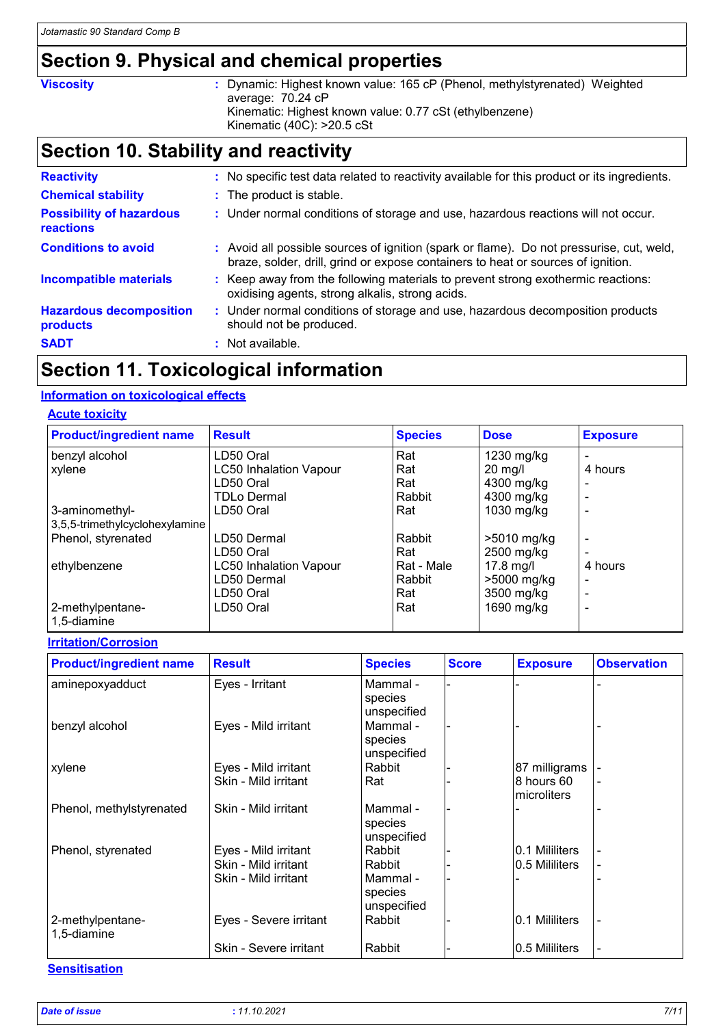# **Section 9. Physical and chemical properties**

**Viscosity** : Dynamic: Highest known value: 165 cP (Phenol, methylstyrenated) Weighted average: 70.24 cP Kinematic: Highest known value: 0.77 cSt (ethylbenzene) Kinematic (40C): >20.5 cSt

## **Section 10. Stability and reactivity**

| <b>Reactivity</b>                            | : No specific test data related to reactivity available for this product or its ingredients.                                                                                 |
|----------------------------------------------|------------------------------------------------------------------------------------------------------------------------------------------------------------------------------|
| <b>Chemical stability</b>                    | : The product is stable.                                                                                                                                                     |
| <b>Possibility of hazardous</b><br>reactions | : Under normal conditions of storage and use, hazardous reactions will not occur.                                                                                            |
| <b>Conditions to avoid</b>                   | : Avoid all possible sources of ignition (spark or flame). Do not pressurise, cut, weld,<br>braze, solder, drill, grind or expose containers to heat or sources of ignition. |
| <b>Incompatible materials</b>                | : Keep away from the following materials to prevent strong exothermic reactions:<br>oxidising agents, strong alkalis, strong acids.                                          |
| <b>Hazardous decomposition</b><br>products   | : Under normal conditions of storage and use, hazardous decomposition products<br>should not be produced.                                                                    |
| <b>SADT</b>                                  | $\therefore$ Not available.                                                                                                                                                  |

### **Section 11. Toxicological information**

#### **Information on toxicological effects**

#### **Acute toxicity**

| <b>Product/ingredient name</b>  | <b>Result</b>                 | <b>Species</b> | <b>Dose</b> | <b>Exposure</b> |
|---------------------------------|-------------------------------|----------------|-------------|-----------------|
| benzyl alcohol                  | LD50 Oral                     | Rat            | 1230 mg/kg  |                 |
| xylene                          | <b>LC50 Inhalation Vapour</b> | Rat            | $20$ mg/l   | 4 hours         |
|                                 | LD50 Oral                     | Rat            | 4300 mg/kg  |                 |
|                                 | <b>TDLo Dermal</b>            | Rabbit         | 4300 mg/kg  |                 |
| 3-aminomethyl-                  | LD50 Oral                     | Rat            | 1030 mg/kg  |                 |
| 3,5,5-trimethylcyclohexylamine  |                               |                |             |                 |
| Phenol, styrenated              | LD50 Dermal                   | Rabbit         | >5010 mg/kg |                 |
|                                 | LD50 Oral                     | Rat            | 2500 mg/kg  |                 |
| ethylbenzene                    | <b>LC50 Inhalation Vapour</b> | Rat - Male     | $17.8$ mg/l | 4 hours         |
|                                 | LD50 Dermal                   | Rabbit         | >5000 mg/kg |                 |
|                                 | LD50 Oral                     | Rat            | 3500 mg/kg  |                 |
| 2-methylpentane-<br>1,5-diamine | LD50 Oral                     | Rat            | 1690 mg/kg  |                 |

#### **Irritation/Corrosion**

| <b>Product/ingredient name</b>  | <b>Result</b>          | <b>Species</b>                     | <b>Score</b> | <b>Exposure</b>           | <b>Observation</b> |
|---------------------------------|------------------------|------------------------------------|--------------|---------------------------|--------------------|
| aminepoxyadduct                 | Eyes - Irritant        | Mammal -<br>species<br>unspecified |              |                           |                    |
| benzyl alcohol                  | Eyes - Mild irritant   | Mammal -<br>species<br>unspecified |              |                           |                    |
| xylene                          | Eyes - Mild irritant   | Rabbit                             |              | 87 milligrams             |                    |
|                                 | Skin - Mild irritant   | Rat                                |              | 8 hours 60<br>microliters |                    |
| Phenol, methylstyrenated        | Skin - Mild irritant   | Mammal -<br>species<br>unspecified |              |                           |                    |
| Phenol, styrenated              | Eyes - Mild irritant   | Rabbit                             |              | 0.1 Mililiters            |                    |
|                                 | Skin - Mild irritant   | Rabbit                             |              | 0.5 Mililiters            |                    |
|                                 | Skin - Mild irritant   | Mammal -<br>species<br>unspecified |              |                           |                    |
| 2-methylpentane-<br>1,5-diamine | Eyes - Severe irritant | Rabbit                             |              | 0.1 Mililiters            |                    |
|                                 | Skin - Severe irritant | Rabbit                             |              | 0.5 Mililiters            |                    |

#### **Sensitisation**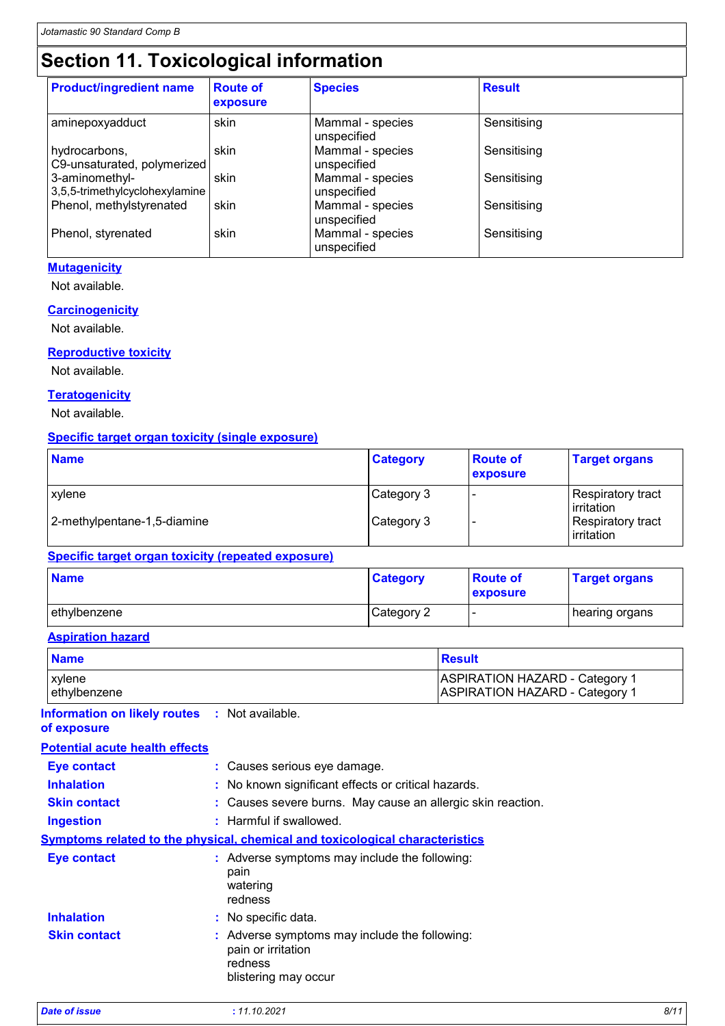# **Section 11. Toxicological information**

| <b>Product/ingredient name</b>                   | <b>Route of</b><br>exposure | <b>Species</b>                  | <b>Result</b> |  |
|--------------------------------------------------|-----------------------------|---------------------------------|---------------|--|
| aminepoxyadduct                                  | skin                        | Mammal - species<br>unspecified | Sensitising   |  |
| hydrocarbons,<br>C9-unsaturated, polymerized     | skin                        | Mammal - species<br>unspecified | Sensitising   |  |
| 3-aminomethyl-<br>3,5,5-trimethylcyclohexylamine | skin                        | Mammal - species<br>unspecified | Sensitising   |  |
| Phenol, methylstyrenated                         | skin                        | Mammal - species<br>unspecified | Sensitising   |  |
| Phenol, styrenated                               | skin                        | Mammal - species<br>unspecified | Sensitising   |  |

#### **Mutagenicity**

Not available.

#### **Carcinogenicity**

Not available.

#### **Reproductive toxicity**

Not available.

#### **Teratogenicity**

Not available.

### **Specific target organ toxicity (single exposure)**

| <b>Name</b>                 | <b>Category</b> | <b>Route of</b><br>exposure | <b>Target organs</b>               |
|-----------------------------|-----------------|-----------------------------|------------------------------------|
| <b>xvlene</b>               | Category 3      |                             | Respiratory tract<br>l irritation. |
| 2-methylpentane-1,5-diamine | Category 3      |                             | Respiratory tract<br>irritation    |

#### **Specific target organ toxicity (repeated exposure)**

| <b>Name</b>  | <b>Category</b> | <b>Route of</b><br>exposure | <b>Target organs</b> |
|--------------|-----------------|-----------------------------|----------------------|
| ethylbenzene | Category 2      | . .                         | hearing organs       |

#### **Aspiration hazard**

| <b>Name</b>   | Result                                |
|---------------|---------------------------------------|
| <b>xylene</b> | ASPIRATION HAZARD - Category 1        |
| lethylbenzene | <b>ASPIRATION HAZARD - Category 1</b> |

#### **Information on likely routes :** Not available. **of exposure**

| <b>Potential acute health effects</b> |                                                                                                        |
|---------------------------------------|--------------------------------------------------------------------------------------------------------|
| <b>Eye contact</b>                    | : Causes serious eye damage.                                                                           |
| <b>Inhalation</b>                     | : No known significant effects or critical hazards.                                                    |
| <b>Skin contact</b>                   | : Causes severe burns. May cause an allergic skin reaction.                                            |
| <b>Ingestion</b>                      | : Harmful if swallowed.                                                                                |
|                                       | <b>Symptoms related to the physical, chemical and toxicological characteristics</b>                    |
| <b>Eye contact</b>                    | : Adverse symptoms may include the following:<br>pain<br>watering<br>redness                           |
| <b>Inhalation</b>                     | : No specific data.                                                                                    |
| <b>Skin contact</b>                   | : Adverse symptoms may include the following:<br>pain or irritation<br>redness<br>blistering may occur |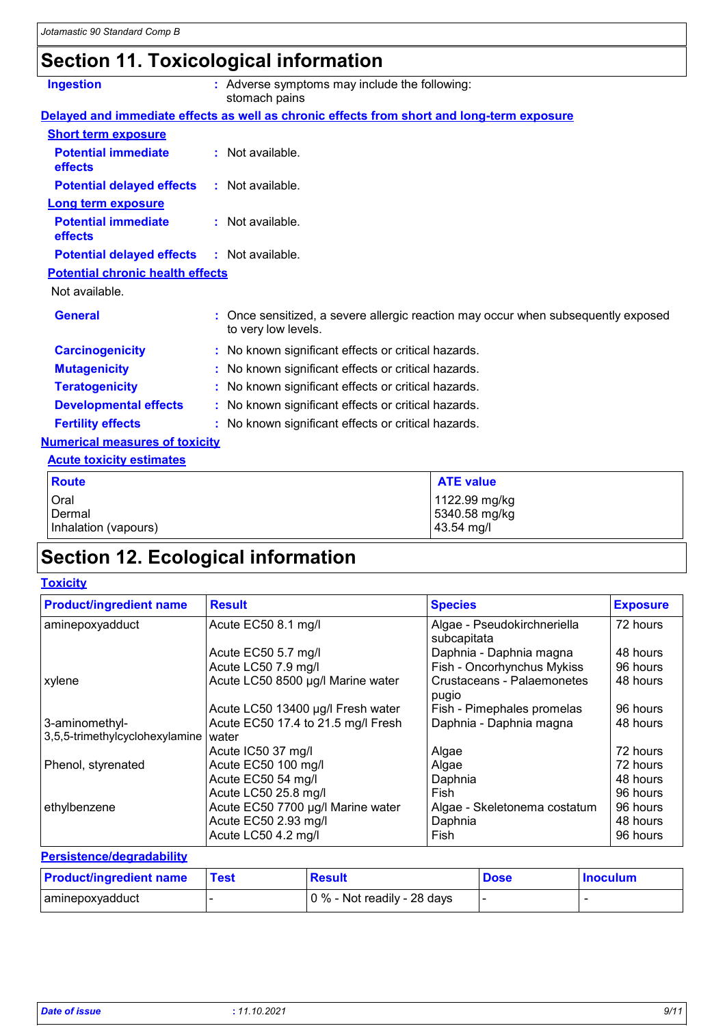# **Section 11. Toxicological information**

| <b>Ingestion</b>                             | : Adverse symptoms may include the following:<br>stomach pains                                           |  |
|----------------------------------------------|----------------------------------------------------------------------------------------------------------|--|
|                                              | Delayed and immediate effects as well as chronic effects from short and long-term exposure               |  |
| <b>Short term exposure</b>                   |                                                                                                          |  |
| <b>Potential immediate</b><br>effects        | $:$ Not available.                                                                                       |  |
| <b>Potential delayed effects</b>             | $\therefore$ Not available.                                                                              |  |
| <b>Long term exposure</b>                    |                                                                                                          |  |
| <b>Potential immediate</b><br><b>effects</b> | : Not available.                                                                                         |  |
| <b>Potential delayed effects</b>             | $:$ Not available.                                                                                       |  |
| <b>Potential chronic health effects</b>      |                                                                                                          |  |
| Not available.                               |                                                                                                          |  |
| <b>General</b>                               | : Once sensitized, a severe allergic reaction may occur when subsequently exposed<br>to very low levels. |  |
| <b>Carcinogenicity</b>                       | : No known significant effects or critical hazards.                                                      |  |
| <b>Mutagenicity</b>                          | : No known significant effects or critical hazards.                                                      |  |
| <b>Teratogenicity</b>                        | : No known significant effects or critical hazards.                                                      |  |
| <b>Developmental effects</b>                 | : No known significant effects or critical hazards.                                                      |  |
| <b>Fertility effects</b>                     | : No known significant effects or critical hazards.                                                      |  |
| <b>Numerical measures of toxicity</b>        |                                                                                                          |  |
| <b>Acute toxicity estimates</b>              |                                                                                                          |  |
| <b>Route</b>                                 | <b>ATE value</b>                                                                                         |  |

| <b>Route</b>         | <b>ATE value</b> |
|----------------------|------------------|
| Oral                 | 1122.99 mg/kg    |
| Dermal               | 5340.58 mg/kg    |
| Inhalation (vapours) | 43.54 mg/l       |
|                      |                  |

# **Section 12. Ecological information**

#### **Toxicity**

| <b>Product/ingredient name</b> | <b>Result</b>                      | <b>Species</b>                      | <b>Exposure</b> |
|--------------------------------|------------------------------------|-------------------------------------|-----------------|
| aminepoxyadduct                | Acute EC50 8.1 mg/l                | Algae - Pseudokirchneriella         | 72 hours        |
|                                |                                    | subcapitata                         |                 |
|                                | Acute EC50 5.7 mg/l                | Daphnia - Daphnia magna             | 48 hours        |
|                                | Acute LC50 7.9 mg/l                | Fish - Oncorhynchus Mykiss          | 96 hours        |
| xylene                         | Acute LC50 8500 µg/l Marine water  | Crustaceans - Palaemonetes<br>pugio | 48 hours        |
|                                | Acute LC50 13400 µg/l Fresh water  | Fish - Pimephales promelas          | 96 hours        |
| 3-aminomethyl-                 | Acute EC50 17.4 to 21.5 mg/l Fresh | Daphnia - Daphnia magna             | 48 hours        |
| 3,5,5-trimethylcyclohexylamine | water                              |                                     |                 |
|                                | Acute IC50 37 mg/l                 | Algae                               | 72 hours        |
| Phenol, styrenated             | Acute EC50 100 mg/l                | Algae                               | 72 hours        |
|                                | Acute EC50 54 mg/l                 | Daphnia                             | 48 hours        |
|                                | Acute LC50 25.8 mg/l               | Fish                                | 96 hours        |
| ethylbenzene                   | Acute EC50 7700 µg/l Marine water  | Algae - Skeletonema costatum        | 96 hours        |
|                                | Acute EC50 2.93 mg/l               | Daphnia                             | 48 hours        |
|                                | Acute LC50 4.2 mg/l                | Fish                                | 96 hours        |

#### **Persistence/degradability**

| <b>Product/ingredient name</b> | <b>Test</b> | <b>Result</b>               | <b>Dose</b> | <b>Inoculum</b> |
|--------------------------------|-------------|-----------------------------|-------------|-----------------|
| aminepoxyadduct                |             | 0 % - Not readily - 28 days |             |                 |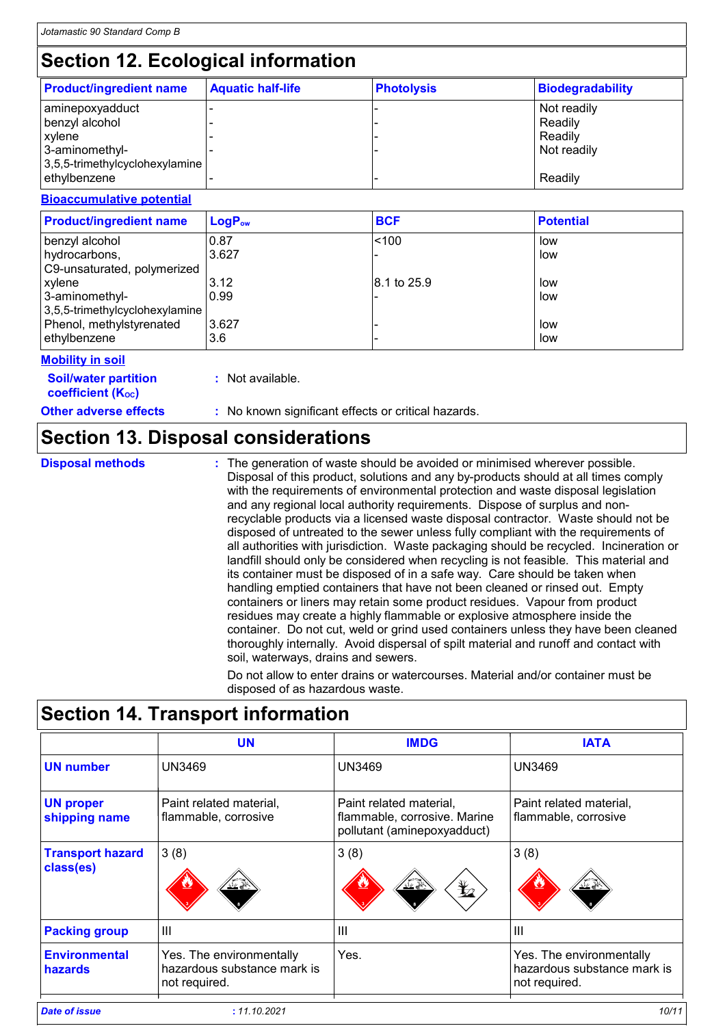# **Section 12. Ecological information**

| <b>Product/ingredient name</b>                             | <b>Aquatic half-life</b> | <b>Photolysis</b> | <b>Biodegradability</b> |
|------------------------------------------------------------|--------------------------|-------------------|-------------------------|
| aminepoxyadduct<br>benzyl alcohol                          |                          |                   | Not readily<br>Readily  |
| xylene<br>3-aminomethyl-<br>3,5,5-trimethylcyclohexylamine |                          |                   | Readily<br>Not readily  |
| ethylbenzene                                               |                          |                   | Readily                 |

#### **Bioaccumulative potential**

| <b>Product/ingredient name</b> | $LogP_{ow}$ | <b>BCF</b>  | <b>Potential</b> |
|--------------------------------|-------------|-------------|------------------|
| benzyl alcohol                 | 0.87        | < 100       | low              |
| hydrocarbons,                  | 3.627       |             | low              |
| C9-unsaturated, polymerized    |             |             |                  |
| xylene                         | 3.12        | 8.1 to 25.9 | low              |
| 3-aminomethyl-                 | 0.99        |             | low              |
| 3,5,5-trimethylcyclohexylamine |             |             |                  |
| Phenol, methylstyrenated       | 3.627       |             | low              |
| ethylbenzene                   | 3.6         |             | low              |

#### **Mobility in soil**

| <b>Soil/water partition</b> |  |
|-----------------------------|--|
| <b>coefficient (Koc)</b>    |  |

**:** Not available.

**Other adverse effects** : No known significant effects or critical hazards.

### **Section 13. Disposal considerations**

**Disposal methods :**

The generation of waste should be avoided or minimised wherever possible. Disposal of this product, solutions and any by-products should at all times comply with the requirements of environmental protection and waste disposal legislation and any regional local authority requirements. Dispose of surplus and nonrecyclable products via a licensed waste disposal contractor. Waste should not be disposed of untreated to the sewer unless fully compliant with the requirements of all authorities with jurisdiction. Waste packaging should be recycled. Incineration or landfill should only be considered when recycling is not feasible. This material and its container must be disposed of in a safe way. Care should be taken when handling emptied containers that have not been cleaned or rinsed out. Empty containers or liners may retain some product residues. Vapour from product residues may create a highly flammable or explosive atmosphere inside the container. Do not cut, weld or grind used containers unless they have been cleaned thoroughly internally. Avoid dispersal of spilt material and runoff and contact with soil, waterways, drains and sewers.

Do not allow to enter drains or watercourses. Material and/or container must be disposed of as hazardous waste.

### **Section 14. Transport information**

|                                      | <b>UN</b>                                                                | <b>IMDG</b>                                                                            | <b>IATA</b>                                                              |
|--------------------------------------|--------------------------------------------------------------------------|----------------------------------------------------------------------------------------|--------------------------------------------------------------------------|
| <b>UN number</b>                     | <b>UN3469</b>                                                            | <b>UN3469</b>                                                                          | <b>UN3469</b>                                                            |
| <b>UN proper</b><br>shipping name    | Paint related material.<br>flammable, corrosive                          | Paint related material.<br>flammable, corrosive. Marine<br>pollutant (aminepoxyadduct) | Paint related material,<br>flammable, corrosive                          |
| <b>Transport hazard</b><br>class(es) | 3(8)<br>پخت                                                              | 3(8)<br>$\bigstar$<br>પ∡≚                                                              | 3(8)<br>پے محف                                                           |
| <b>Packing group</b>                 | $\mathbf{III}$                                                           | $\mathbf{III}$                                                                         | Ш                                                                        |
| <b>Environmental</b><br>hazards      | Yes. The environmentally<br>hazardous substance mark is<br>not required. | Yes.                                                                                   | Yes. The environmentally<br>hazardous substance mark is<br>not required. |
| <b>Date of issue</b>                 | : 11.10.2021                                                             |                                                                                        | 10/11                                                                    |